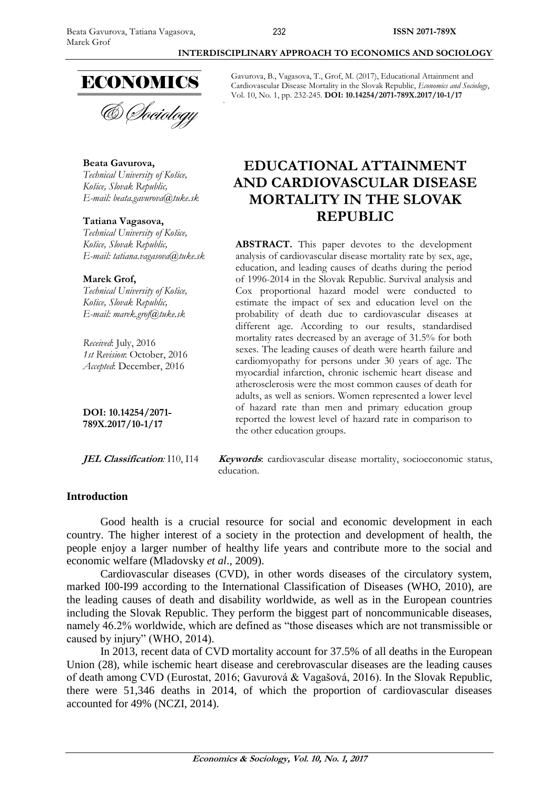

# **Beata Gavurova,** *Technical University of Košice,*

*Košice, Slovak Republic, E-mail: [beata.gavurova@tuke.sk](mailto:beata.gavurova@tuke.sk)*

#### **Tatiana Vagasova,**

*Technical University of Košice, Košice, Slovak Republic, E-mail: tatiana.vagasova@tuke.sk*

#### **Marek Grof,**

*Technical University of Košice, Košice, Slovak Republic, E-mail: marek.grof@tuke.sk*

*Received*: July, 2016 *1st Revision*: October, 2016 *Accepted*: December, 2016

**DOI: 10.14254/2071- 789X.2017/10-1/17**

# **INTERDISCIPLINARY APPROACH TO ECONOMICS AND SOCIOLOGY**

Gavurova, B., Vagasova, T., Grof, M. (2017), Educational Attainment and Cardiovascular Disease Mortality in the Slovak Republic, *Economics and Sociology*, Vol. 10, No. 1, pp. 232-245. **DOI: 10.14254/2071-789X.2017/10-1/17**

# **EDUCATIONAL ATTAINMENT AND CARDIOVASCULAR DISEASE MORTALITY IN THE SLOVAK REPUBLIC**

**ABSTRACT.** This paper devotes to the development analysis of cardiovascular disease mortality rate by sex, age, education, and leading causes of deaths during the period of 1996-2014 in the Slovak Republic. Survival analysis and Cox proportional hazard model were conducted to estimate the impact of sex and education level on the probability of death due to cardiovascular diseases at different age. According to our results, standardised mortality rates decreased by an average of 31.5% for both sexes. The leading causes of death were hearth failure and cardiomyopathy for persons under 30 years of age. The myocardial infarction, chronic ischemic heart disease and atherosclerosis were the most common causes of death for adults, as well as seniors. Women represented a lower level of hazard rate than men and primary education group reported the lowest level of hazard rate in comparison to the other education groups.

**JEL Classification***:* I10, I14 **Keywords**: cardiovascular disease mortality, socioeconomic status, education.

#### **Introduction**

Good health is a crucial resource for social and economic development in each country. The higher interest of a society in the protection and development of health, the people enjoy a larger number of healthy life years and contribute more to the social and economic welfare (Mladovsky *et al*., 2009).

Cardiovascular diseases (CVD), in other words diseases of the circulatory system, marked I00-I99 according to the International Classification of Diseases (WHO, 2010), are the leading causes of death and disability worldwide, as well as in the European countries including the Slovak Republic. They perform the biggest part of noncommunicable diseases, namely 46.2% worldwide, which are defined as "those diseases which are not transmissible or caused by injury" (WHO, 2014).

In 2013, recent data of CVD mortality account for 37.5% of all deaths in the European Union (28), while ischemic heart disease and cerebrovascular diseases are the leading causes of death among CVD (Eurostat, 2016; Gavurová & Vagašová, 2016). In the Slovak Republic, there were 51,346 deaths in 2014, of which the proportion of cardiovascular diseases accounted for 49% (NCZI, 2014).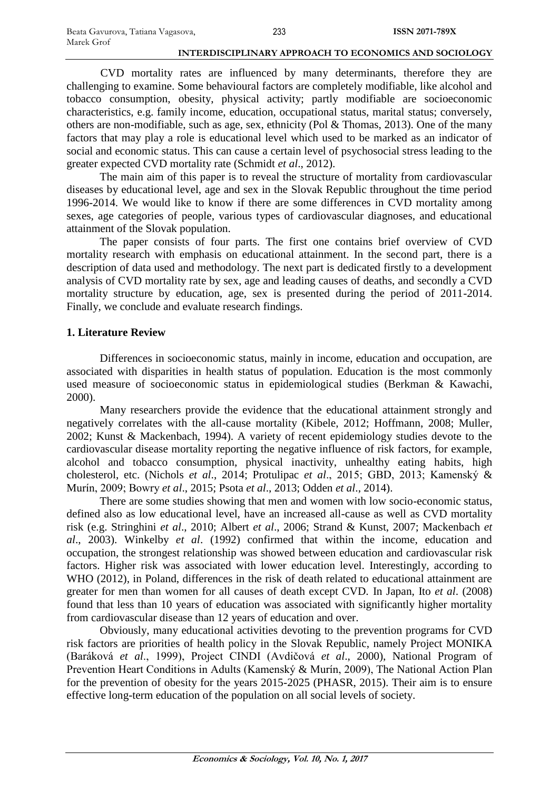CVD mortality rates are influenced by many determinants, therefore they are challenging to examine. Some behavioural factors are completely modifiable, like alcohol and tobacco consumption, obesity, physical activity; partly modifiable are socioeconomic characteristics, e.g. family income, education, occupational status, marital status; conversely, others are non-modifiable, such as age, sex, ethnicity (Pol & Thomas, 2013). One of the many factors that may play a role is educational level which used to be marked as an indicator of social and economic status. This can cause a certain level of psychosocial stress leading to the greater expected CVD mortality rate (Schmidt *et al*., 2012).

The main aim of this paper is to reveal the structure of mortality from cardiovascular diseases by educational level, age and sex in the Slovak Republic throughout the time period 1996-2014. We would like to know if there are some differences in CVD mortality among sexes, age categories of people, various types of cardiovascular diagnoses, and educational attainment of the Slovak population.

The paper consists of four parts. The first one contains brief overview of CVD mortality research with emphasis on educational attainment. In the second part, there is a description of data used and methodology. The next part is dedicated firstly to a development analysis of CVD mortality rate by sex, age and leading causes of deaths, and secondly a CVD mortality structure by education, age, sex is presented during the period of 2011-2014. Finally, we conclude and evaluate research findings.

# **1. Literature Review**

Differences in socioeconomic status, mainly in income, education and occupation, are associated with disparities in health status of population. Education is the most commonly used measure of socioeconomic status in epidemiological studies (Berkman & Kawachi, 2000).

Many researchers provide the evidence that the educational attainment strongly and negatively correlates with the all-cause mortality (Kibele, 2012; Hoffmann, 2008; Muller, 2002; Kunst & Mackenbach, 1994). A variety of recent epidemiology studies devote to the cardiovascular disease mortality reporting the negative influence of risk factors, for example, alcohol and tobacco consumption, physical inactivity, unhealthy eating habits, high cholesterol, etc. (Nichols *et al*., 2014; Protulipac *et al*., 2015; GBD, 2013; Kamenský & Murín, 2009; Bowry *et al*., 2015; Psota *et al*., 2013; Odden *et al*., 2014).

There are some studies showing that men and women with low socio-economic status, defined also as low educational level, have an increased all-cause as well as CVD mortality risk (e.g. Stringhini *et al*., 2010; Albert *et al*., 2006; Strand & Kunst, 2007; Mackenbach *et al*., 2003). Winkelby *et al*. (1992) confirmed that within the income, education and occupation, the strongest relationship was showed between education and cardiovascular risk factors. Higher risk was associated with lower education level. Interestingly, according to WHO (2012), in Poland, differences in the risk of death related to educational attainment are greater for men than women for all causes of death except CVD. In Japan, Ito *et al*. (2008) found that less than 10 years of education was associated with significantly higher mortality from cardiovascular disease than 12 years of education and over.

Obviously, many educational activities devoting to the prevention programs for CVD risk factors are priorities of health policy in the Slovak Republic, namely Project MONIKA (Baráková *et al*., 1999), Project CINDI (Avdičová *et al*., 2000), National Program of Prevention Heart Conditions in Adults (Kamenský & Murín, 2009), The National Action Plan for the prevention of obesity for the years 2015-2025 (PHASR, 2015). Their aim is to ensure effective long-term education of the population on all social levels of society.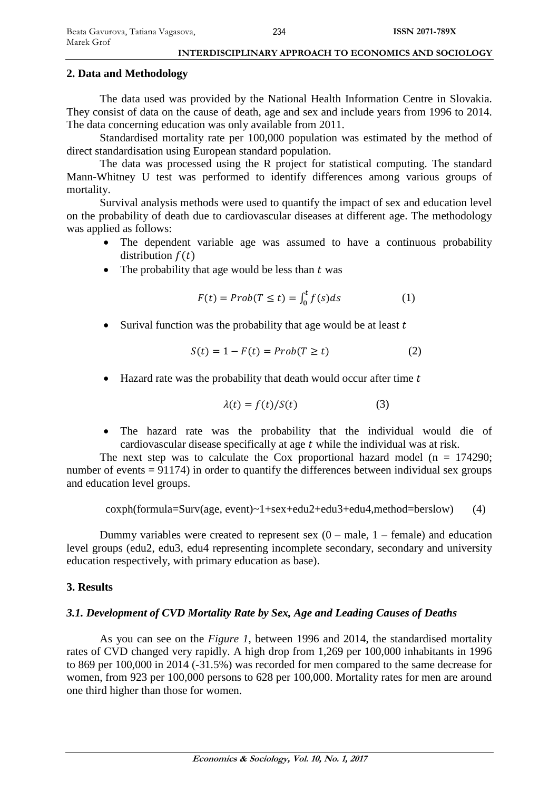## **2. Data and Methodology**

The data used was provided by the National Health Information Centre in Slovakia. They consist of data on the cause of death, age and sex and include years from 1996 to 2014. The data concerning education was only available from 2011.

Standardised mortality rate per 100,000 population was estimated by the method of direct standardisation using European standard population.

The data was processed using the R project for statistical computing. The standard Mann-Whitney U test was performed to identify differences among various groups of mortality.

Survival analysis methods were used to quantify the impact of sex and education level on the probability of death due to cardiovascular diseases at different age. The methodology was applied as follows:

- The dependent variable age was assumed to have a continuous probability distribution  $f(t)$
- The probability that age would be less than  $t$  was

$$
F(t) = Prob(T \le t) = \int_0^t f(s)ds \tag{1}
$$

• Surival function was the probability that age would be at least  $t$ 

$$
S(t) = 1 - F(t) = Prob(T \ge t)
$$
 (2)

 $\bullet$  Hazard rate was the probability that death would occur after time t

$$
\lambda(t) = f(t)/S(t) \tag{3}
$$

 The hazard rate was the probability that the individual would die of cardiovascular disease specifically at age  $t$  while the individual was at risk.

The next step was to calculate the Cox proportional hazard model ( $n = 174290$ ; number of events  $= 91174$ ) in order to quantify the differences between individual sex groups and education level groups.

coxph(formula=Surv(age, event)~1+sex+edu2+edu3+edu4,method=berslow) (4)

Dummy variables were created to represent sex  $(0 - male, 1 - female)$  and education level groups (edu2, edu3, edu4 representing incomplete secondary, secondary and university education respectively, with primary education as base).

#### **3. Results**

#### *3.1. Development of CVD Mortality Rate by Sex, Age and Leading Causes of Deaths*

As you can see on the *Figure 1*, between 1996 and 2014, the standardised mortality rates of CVD changed very rapidly. A high drop from 1,269 per 100,000 inhabitants in 1996 to 869 per 100,000 in 2014 (-31.5%) was recorded for men compared to the same decrease for women, from 923 per 100,000 persons to 628 per 100,000. Mortality rates for men are around one third higher than those for women.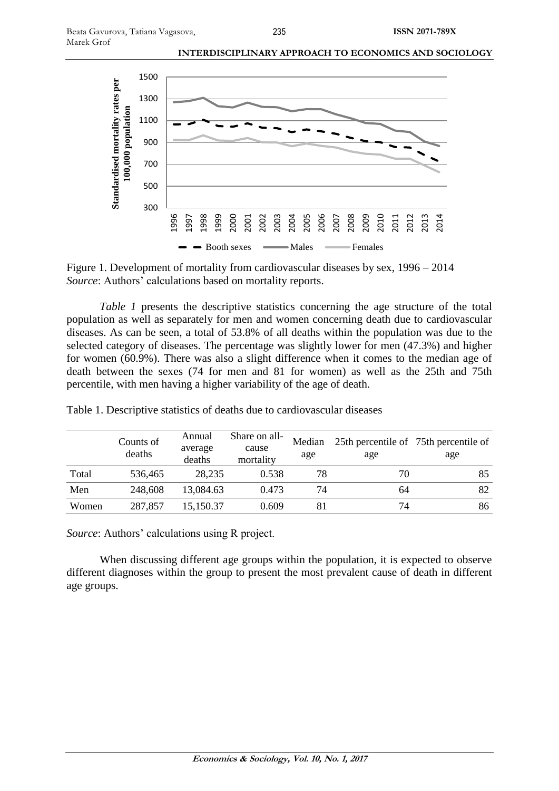

Figure 1. Development of mortality from cardiovascular diseases by sex, 1996 – 2014 *Source*: Authors' calculations based on mortality reports.

*Table 1* presents the descriptive statistics concerning the age structure of the total population as well as separately for men and women concerning death due to cardiovascular diseases. As can be seen, a total of 53.8% of all deaths within the population was due to the selected category of diseases. The percentage was slightly lower for men (47.3%) and higher for women (60.9%). There was also a slight difference when it comes to the median age of death between the sexes (74 for men and 81 for women) as well as the 25th and 75th percentile, with men having a higher variability of the age of death.

|       | Counts of<br>deaths | Annual<br>average<br>deaths | Share on all-<br>cause<br>mortality | Median<br>age | 25th percentile of 75th percentile of<br>age | age |
|-------|---------------------|-----------------------------|-------------------------------------|---------------|----------------------------------------------|-----|
| Total | 536,465             | 28,235                      | 0.538                               | 78            | 70                                           | 85  |
| Men   | 248,608             | 13,084.63                   | 0.473                               | 74            | 64                                           | 82  |
| Women | 287,857             | 15.150.37                   | 0.609                               | 81            | 74                                           | 86  |

Table 1. Descriptive statistics of deaths due to cardiovascular diseases

*Source*: Authors' calculations using R project.

When discussing different age groups within the population, it is expected to observe different diagnoses within the group to present the most prevalent cause of death in different age groups.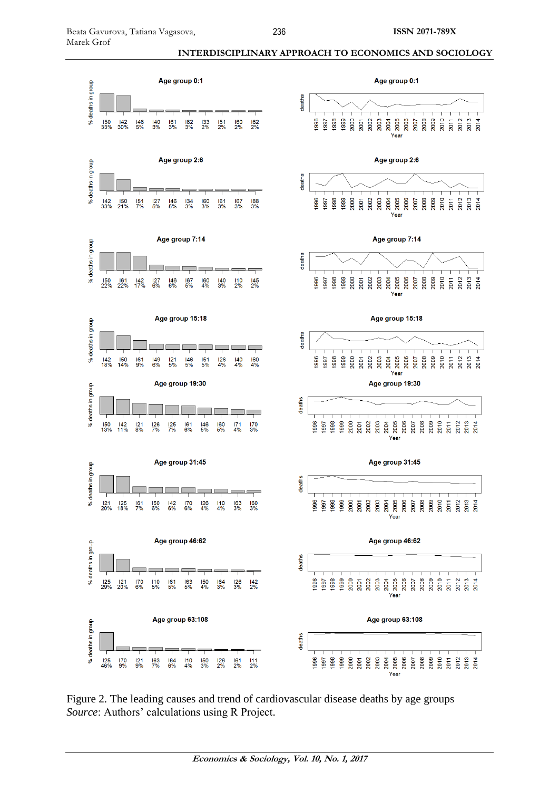

Figure 2. The leading causes and trend of cardiovascular disease deaths by age groups *Source*: Authors' calculations using R Project.

**INTERDISCIPLINARY APPROACH TO ECONOMICS AND SOCIOLOGY**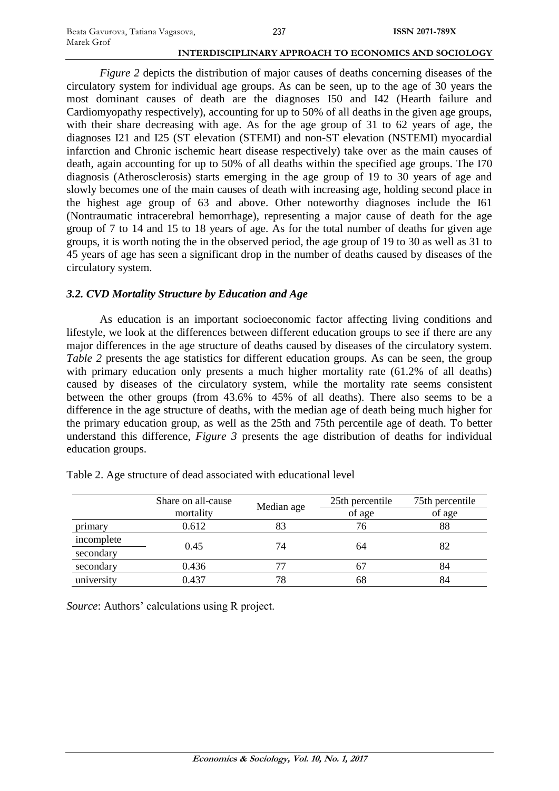*Figure 2* depicts the distribution of major causes of deaths concerning diseases of the circulatory system for individual age groups. As can be seen, up to the age of 30 years the most dominant causes of death are the diagnoses I50 and I42 (Hearth failure and Cardiomyopathy respectively), accounting for up to 50% of all deaths in the given age groups, with their share decreasing with age. As for the age group of 31 to 62 years of age, the diagnoses I21 and I25 (ST elevation (STEMI) and non-ST elevation (NSTEMI) myocardial infarction and Chronic ischemic heart disease respectively) take over as the main causes of death, again accounting for up to 50% of all deaths within the specified age groups. The I70 diagnosis (Atherosclerosis) starts emerging in the age group of 19 to 30 years of age and slowly becomes one of the main causes of death with increasing age, holding second place in the highest age group of 63 and above. Other noteworthy diagnoses include the I61 (Nontraumatic intracerebral hemorrhage), representing a major cause of death for the age group of 7 to 14 and 15 to 18 years of age. As for the total number of deaths for given age groups, it is worth noting the in the observed period, the age group of 19 to 30 as well as 31 to 45 years of age has seen a significant drop in the number of deaths caused by diseases of the circulatory system.

# *3.2. CVD Mortality Structure by Education and Age*

As education is an important socioeconomic factor affecting living conditions and lifestyle, we look at the differences between different education groups to see if there are any major differences in the age structure of deaths caused by diseases of the circulatory system. *Table* 2 presents the age statistics for different education groups. As can be seen, the group with primary education only presents a much higher mortality rate (61.2% of all deaths) caused by diseases of the circulatory system, while the mortality rate seems consistent between the other groups (from 43.6% to 45% of all deaths). There also seems to be a difference in the age structure of deaths, with the median age of death being much higher for the primary education group, as well as the 25th and 75th percentile age of death. To better understand this difference, *Figure 3* presents the age distribution of deaths for individual education groups.

|            | Share on all-cause<br>mortality | Median age | 25th percentile | 75th percentile |  |
|------------|---------------------------------|------------|-----------------|-----------------|--|
|            |                                 |            | of age          | of age          |  |
| primary    | 0.612                           |            | 76              | 88              |  |
| incomplete | 0.45                            | 74         | 64              | 82              |  |
| secondary  |                                 |            |                 |                 |  |
| secondary  | 0.436                           |            | n,              | 84              |  |
| university | 0.437                           | 78         | 68              | 84              |  |

Table 2. Age structure of dead associated with educational level

*Source*: Authors' calculations using R project.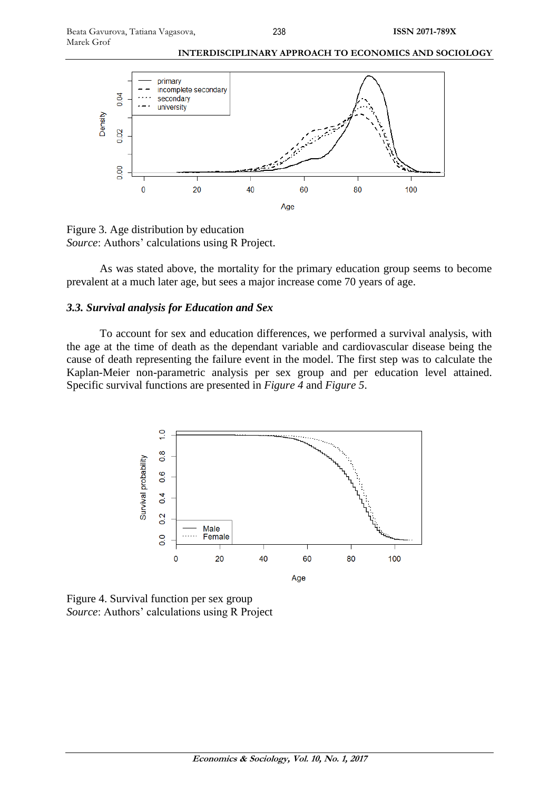



Figure 3. Age distribution by education *Source*: Authors' calculations using R Project.

As was stated above, the mortality for the primary education group seems to become prevalent at a much later age, but sees a major increase come 70 years of age.

#### *3.3. Survival analysis for Education and Sex*

To account for sex and education differences, we performed a survival analysis, with the age at the time of death as the dependant variable and cardiovascular disease being the cause of death representing the failure event in the model. The first step was to calculate the Kaplan-Meier non-parametric analysis per sex group and per education level attained. Specific survival functions are presented in *Figure 4* and *Figure 5*.



Figure 4. Survival function per sex group *Source*: Authors' calculations using R Project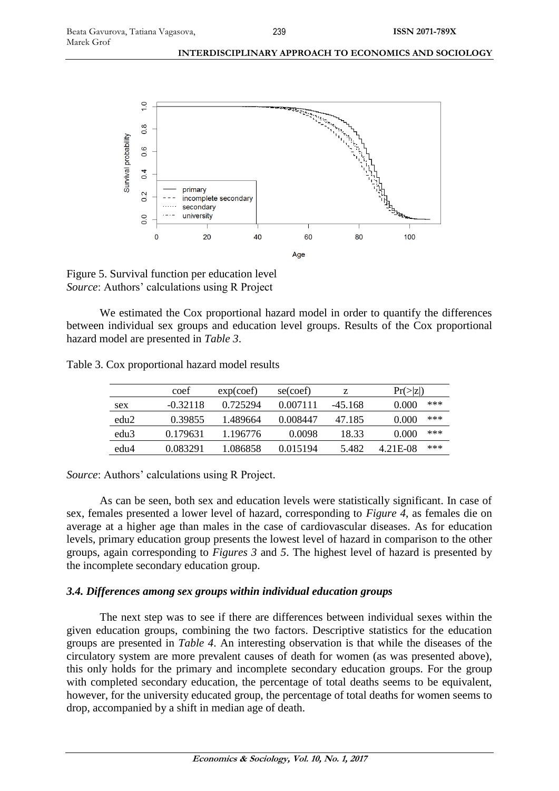

Figure 5. Survival function per education level *Source*: Authors' calculations using R Project

We estimated the Cox proportional hazard model in order to quantify the differences between individual sex groups and education level groups. Results of the Cox proportional hazard model are presented in *Table 3*.

|                  | coef       | exp(coef) | se(coef) | z       | $Pr(\ge  Z )$ |     |
|------------------|------------|-----------|----------|---------|---------------|-----|
| sex              | $-0.32118$ | 0.725294  | 0.007111 | -45.168 | 0.000         | *** |
| edu <sub>2</sub> | 0.39855    | 1.489664  | 0.008447 | 47.185  | 0.000         | *** |
| edu <sub>3</sub> | 0.179631   | 1.196776  | 0.0098   | 18.33   | 0.000         | *** |
| edu4             | 0.083291   | 1.086858  | 0.015194 | 5.482   | 4.21E-08      | *** |

*Source*: Authors' calculations using R Project.

As can be seen, both sex and education levels were statistically significant. In case of sex, females presented a lower level of hazard, corresponding to *Figure 4*, as females die on average at a higher age than males in the case of cardiovascular diseases. As for education levels, primary education group presents the lowest level of hazard in comparison to the other groups, again corresponding to *Figures 3* and *5*. The highest level of hazard is presented by the incomplete secondary education group.

# *3.4. Differences among sex groups within individual education groups*

The next step was to see if there are differences between individual sexes within the given education groups, combining the two factors. Descriptive statistics for the education groups are presented in *Table 4*. An interesting observation is that while the diseases of the circulatory system are more prevalent causes of death for women (as was presented above), this only holds for the primary and incomplete secondary education groups. For the group with completed secondary education, the percentage of total deaths seems to be equivalent, however, for the university educated group, the percentage of total deaths for women seems to drop, accompanied by a shift in median age of death.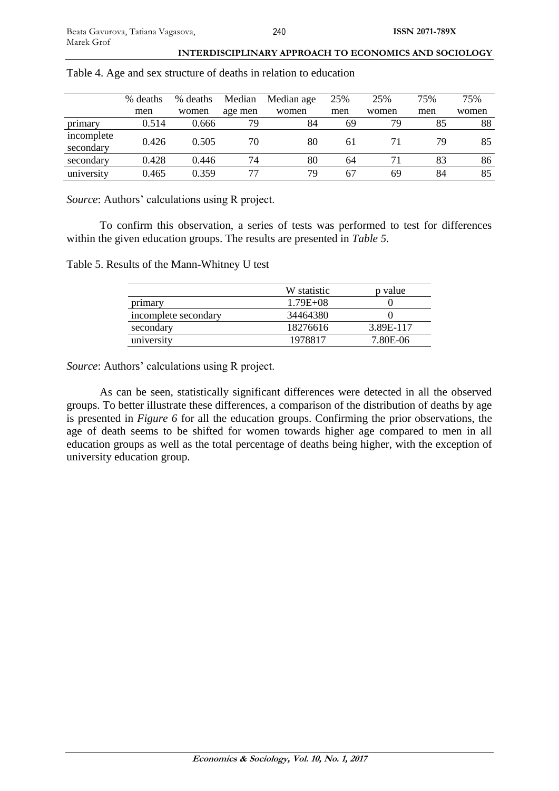|                         | % deaths | % deaths | Median  | Median age | 25% | 25%   | 75% | 75%   |
|-------------------------|----------|----------|---------|------------|-----|-------|-----|-------|
|                         | men      | women    | age men | women      | men | women | men | women |
| primary                 | 0.514    | 0.666    | 79      | 84         | 69  | 79    | 85  | 88    |
| incomplete<br>secondary | 0.426    | 0.505    | 70      | 80         | 61  |       | 79  | 85    |
| secondary               | 0.428    | 0.446    | 74      | 80         | 64  |       | 83  | 86    |
| university              | 0.465    | 0.359    | 77      | 79         | 67  | 69    | 84  | 85    |

Table 4. Age and sex structure of deaths in relation to education

*Source*: Authors' calculations using R project.

To confirm this observation, a series of tests was performed to test for differences within the given education groups. The results are presented in *Table 5*.

Table 5. Results of the Mann-Whitney U test

|                      | W statistic  | p value   |
|----------------------|--------------|-----------|
| primary              | $1.79E + 08$ |           |
| incomplete secondary | 34464380     |           |
| secondary            | 18276616     | 3.89E-117 |
| university           | 1978817      | 7.80E-06  |

*Source*: Authors' calculations using R project.

As can be seen, statistically significant differences were detected in all the observed groups. To better illustrate these differences, a comparison of the distribution of deaths by age is presented in *Figure 6* for all the education groups. Confirming the prior observations, the age of death seems to be shifted for women towards higher age compared to men in all education groups as well as the total percentage of deaths being higher, with the exception of university education group.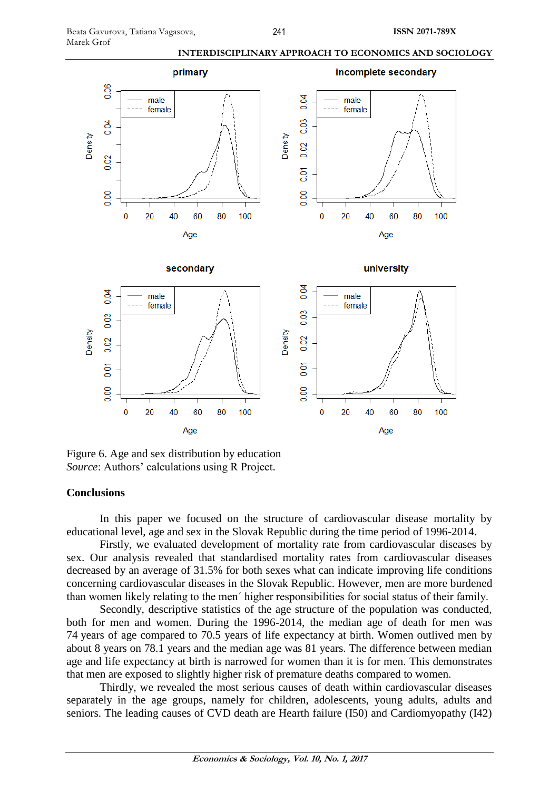



Figure 6. Age and sex distribution by education *Source*: Authors' calculations using R Project.

#### **Conclusions**

In this paper we focused on the structure of cardiovascular disease mortality by educational level, age and sex in the Slovak Republic during the time period of 1996-2014.

Firstly, we evaluated development of mortality rate from cardiovascular diseases by sex. Our analysis revealed that standardised mortality rates from cardiovascular diseases decreased by an average of 31.5% for both sexes what can indicate improving life conditions concerning cardiovascular diseases in the Slovak Republic. However, men are more burdened than women likely relating to the men´ higher responsibilities for social status of their family.

Secondly, descriptive statistics of the age structure of the population was conducted, both for men and women. During the 1996-2014, the median age of death for men was 74 years of age compared to 70.5 years of life expectancy at birth. Women outlived men by about 8 years on 78.1 years and the median age was 81 years. The difference between median age and life expectancy at birth is narrowed for women than it is for men. This demonstrates that men are exposed to slightly higher risk of premature deaths compared to women.

Thirdly, we revealed the most serious causes of death within cardiovascular diseases separately in the age groups, namely for children, adolescents, young adults, adults and seniors. The leading causes of CVD death are Hearth failure (I50) and Cardiomyopathy (I42)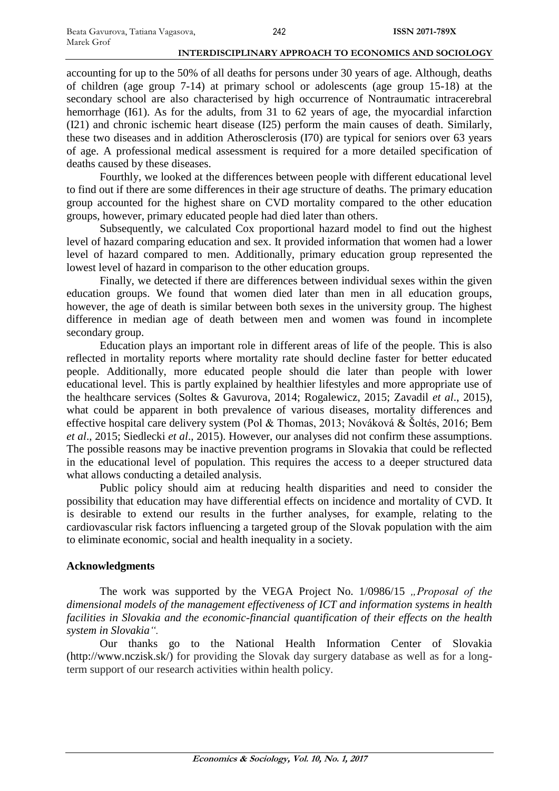accounting for up to the 50% of all deaths for persons under 30 years of age. Although, deaths of children (age group 7-14) at primary school or adolescents (age group 15-18) at the secondary school are also characterised by high occurrence of Nontraumatic intracerebral hemorrhage (I61). As for the adults, from 31 to 62 years of age, the myocardial infarction (I21) and chronic ischemic heart disease (I25) perform the main causes of death. Similarly, these two diseases and in addition Atherosclerosis (I70) are typical for seniors over 63 years of age. A professional medical assessment is required for a more detailed specification of deaths caused by these diseases.

Fourthly, we looked at the differences between people with different educational level to find out if there are some differences in their age structure of deaths. The primary education group accounted for the highest share on CVD mortality compared to the other education groups, however, primary educated people had died later than others.

Subsequently, we calculated Cox proportional hazard model to find out the highest level of hazard comparing education and sex. It provided information that women had a lower level of hazard compared to men. Additionally, primary education group represented the lowest level of hazard in comparison to the other education groups.

Finally, we detected if there are differences between individual sexes within the given education groups. We found that women died later than men in all education groups, however, the age of death is similar between both sexes in the university group. The highest difference in median age of death between men and women was found in incomplete secondary group.

Education plays an important role in different areas of life of the people. This is also reflected in mortality reports where mortality rate should decline faster for better educated people. Additionally, more educated people should die later than people with lower educational level. This is partly explained by healthier lifestyles and more appropriate use of the healthcare services (Soltes & Gavurova, 2014; Rogalewicz, 2015; Zavadil *et al*., 2015), what could be apparent in both prevalence of various diseases, mortality differences and effective hospital care delivery system (Pol & Thomas, 2013; Nováková & Šoltés, 2016; Bem *et al*., 2015; Siedlecki *et al*., 2015). However, our analyses did not confirm these assumptions. The possible reasons may be inactive prevention programs in Slovakia that could be reflected in the educational level of population. This requires the access to a deeper structured data what allows conducting a detailed analysis.

Public policy should aim at reducing health disparities and need to consider the possibility that education may have differential effects on incidence and mortality of CVD. It is desirable to extend our results in the further analyses, for example, relating to the cardiovascular risk factors influencing a targeted group of the Slovak population with the aim to eliminate economic, social and health inequality in a society.

#### **Acknowledgments**

The work was supported by the VEGA Project No. 1/0986/15 "Proposal of the *dimensional models of the management effectiveness of ICT and information systems in health facilities in Slovakia and the economic-financial quantification of their effects on the health system in Slovakia".*

Our thanks go to the National Health Information Center of Slovakia (http://www.nczisk.sk/) for providing the Slovak day surgery database as well as for a longterm support of our research activities within health policy.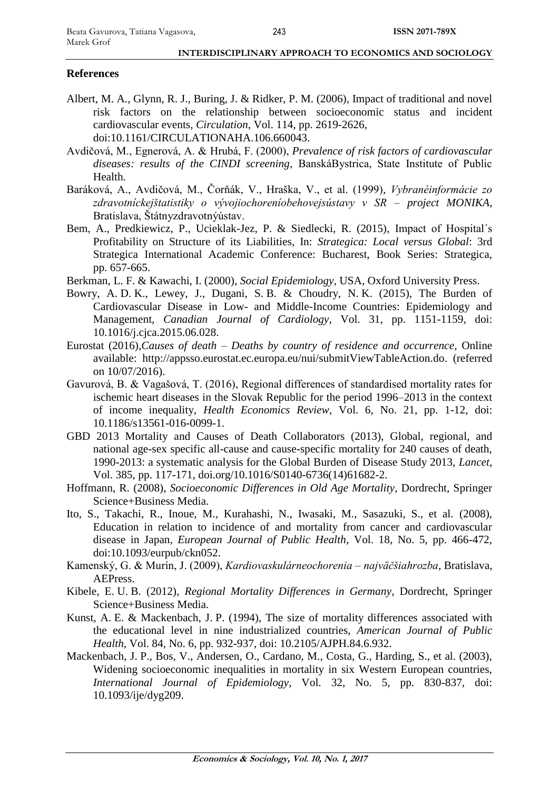# **References**

- Albert, M. A., Glynn, R. J., Buring, J. & Ridker, P. M. (2006), Impact of traditional and novel risk factors on the relationship between socioeconomic status and incident cardiovascular events, *Circulation*, Vol. 114, pp. 2619-2626, doi:10.1161/CIRCULATIONAHA.106.660043.
- Avdičová, M., Egnerová, A. & Hrubá, F. (2000), *Prevalence of risk factors of cardiovascular diseases: results of the CINDI screening*, BanskáBystrica, State Institute of Public Health.
- Baráková, A., Avdičová, M., Čorňák, V., Hraška, V., et al. (1999), *Vybranéinformácie zo zdravotníckejštatistiky o vývojiochoreníobehovejsústavy v SR – project MONIKA*, Bratislava, Štátnyzdravotnýústav.
- Bem, A., Predkiewicz, P., Ucieklak-Jez, P. & Siedlecki, R. (2015), Impact of Hospital´s Profitability on Structure of its Liabilities, In: *Strategica: Local versus Global*: 3rd Strategica International Academic Conference: Bucharest, Book Series: Strategica, pp. 657-665.
- Berkman, L. F. & Kawachi, I. (2000), *Social Epidemiology*, USA, Oxford University Press.
- Bowry, A. D. K., Lewey, J., Dugani, S. B. & Choudry, N. K. (2015), The Burden of Cardiovascular Disease in Low- and Middle-Income Countries: Epidemiology and Management, *Canadian Journal of Cardiology*, Vol. 31, pp. 1151-1159, doi: 10.1016/j.cjca.2015.06.028.
- Eurostat (2016),*Causes of death – Deaths by country of residence and occurrence*, Online available: [http://appsso.eurostat.ec.europa.eu/nui/submitViewTableAction.do.](http://appsso.eurostat.ec.europa.eu/nui/submitViewTableAction.do) (referred on 10/07/2016).
- Gavurová, B. & Vagašová, T. (2016), Regional differences of standardised mortality rates for ischemic heart diseases in the Slovak Republic for the period 1996–2013 in the context of income inequality, *Health Economics Review*, Vol. 6, No. 21, pp. 1-12, doi: 10.1186/s13561-016-0099-1.
- GBD 2013 Mortality and Causes of Death Collaborators (2013), Global, regional, and national age-sex specific all-cause and cause-specific mortality for 240 causes of death, 1990-2013: a systematic analysis for the Global Burden of Disease Study 2013, *Lancet*, Vol. 385, pp. 117-171, doi.org/10.1016/S0140-6736(14)61682-2.
- Hoffmann, R. (2008), *Socioeconomic Differences in Old Age Mortality*, Dordrecht, Springer Science+Business Media.
- Ito, S., Takachi, R., Inoue, M., Kurahashi, N., Iwasaki, M., Sasazuki, S., et al. (2008), Education in relation to incidence of and mortality from cancer and cardiovascular disease in Japan, *European Journal of Public Health*, Vol. 18, No. 5, pp. 466-472, doi:10.1093/eurpub/ckn052.
- Kamenský, G. & Murín, J. (2009), *Kardiovaskulárneochorenia – najväčšiahrozba*, Bratislava, AEPress.
- Kibele, E. U. B. (2012), *Regional Mortality Differences in Germany*, Dordrecht, Springer Science+Business Media.
- Kunst, A. E. & Mackenbach, J. P. (1994), The size of mortality differences associated with the educational level in nine industrialized countries, *American Journal of Public Health*, Vol. 84, No. 6, pp. 932-937, doi: 10.2105/AJPH.84.6.932.
- Mackenbach, J. P., Bos, V., Andersen, O., Cardano, M., Costa, G., Harding, S., et al. (2003), Widening socioeconomic inequalities in mortality in six Western European countries, *International Journal of Epidemiology*, Vol. 32, No. 5, pp. 830-837, doi: 10.1093/ije/dyg209.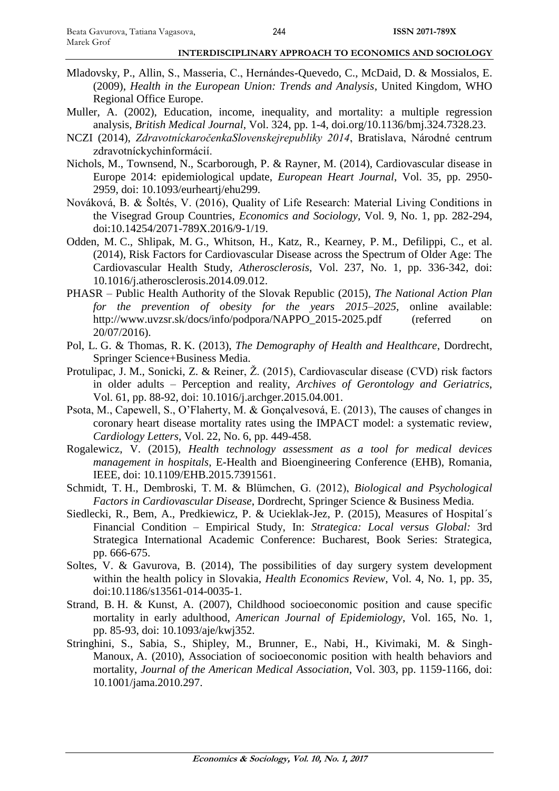- Mladovsky, P., Allin, S., Masseria, C., Hernándes-Quevedo, C., McDaid, D. & Mossialos, E. (2009), *Health in the European Union: Trends and Analysis*, United Kingdom, WHO Regional Office Europe.
- Muller, A. (2002), Education, income, inequality, and mortality: a multiple regression analysis, *British Medical Journal*, Vol. 324, pp. 1-4, doi.org/10.1136/bmj.324.7328.23.
- NCZI (2014), *ZdravotníckaročenkaSlovenskejrepubliky 2014*, Bratislava, Národné centrum zdravotníckychinformácií.
- Nichols, M., Townsend, N., Scarborough, P. & Rayner, M. (2014), Cardiovascular disease in Europe 2014: epidemiological update, *European Heart Journal*, Vol. 35, pp. 2950- 2959, doi: 10.1093/eurheartj/ehu299.
- Nováková, B. & Šoltés, V. (2016), Quality of Life Research: Material Living Conditions in the Visegrad Group Countries, *Economics and Sociology*, Vol. 9, No. 1, pp. 282-294, doi:10.14254/2071-789X.2016/9-1/19.
- Odden, M. C., Shlipak, M. G., Whitson, H., Katz, R., Kearney, P. M., Defilippi, C., et al. (2014), Risk Factors for Cardiovascular Disease across the Spectrum of Older Age: The Cardiovascular Health Study, *Atherosclerosis*, Vol. 237, No. 1, pp. 336-342, doi: 10.1016/j.atherosclerosis.2014.09.012.
- PHASR Public Health Authority of the Slovak Republic (2015), *The National Action Plan for the prevention of obesity for the years 2015–2025*, online available: http://www.uvzsr.sk/docs/info/podpora/NAPPO\_2015-2025.pdf (referred on 20/07/2016).
- Pol, L. G. & Thomas, R. K. (2013), *The Demography of Health and Healthcare*, Dordrecht, Springer Science+Business Media.
- Protulipac, J. M., Sonicki, Z. & Reiner, Ž. (2015), Cardiovascular disease (CVD) risk factors in older adults – Perception and reality, *Archives of Gerontology and Geriatrics*, Vol. 61, pp. 88-92, doi: 10.1016/j.archger.2015.04.001.
- Psota, M., Capewell, S., O'Flaherty, M. & Gonçalvesová, E. (2013), The causes of changes in coronary heart disease mortality rates using the IMPACT model: a systematic review, *Cardiology Letters*, Vol. 22, No. 6, pp. 449-458.
- Rogalewicz, V. (2015), *Health technology assessment as a tool for medical devices management in hospitals*, E-Health and Bioengineering Conference (EHB), Romania, IEEE, doi: 10.1109/EHB.2015.7391561.
- Schmidt, T. H., Dembroski, T. M. & Blümchen, G. (2012), *Biological and Psychological Factors in Cardiovascular Disease*, Dordrecht, Springer Science & Business Media.
- Siedlecki, R., Bem, A., Predkiewicz, P. & Ucieklak-Jez, P. (2015), Measures of Hospital´s Financial Condition – Empirical Study, In: *Strategica: Local versus Global:* 3rd Strategica International Academic Conference: Bucharest, Book Series: Strategica, pp. 666-675.
- Soltes, V. & Gavurova, B. (2014), The possibilities of day surgery system development within the health policy in Slovakia, *Health Economics Review*, Vol. 4, No. 1, pp. 35, doi:10.1186/s13561-014-0035-1.
- Strand, B. H. & Kunst, A. (2007), Childhood socioeconomic position and cause specific mortality in early adulthood, *American Journal of Epidemiology*, Vol. 165, No. 1, pp. 85-93, doi: 10.1093/aje/kwj352.
- Stringhini, S., Sabia, S., Shipley, M., Brunner, E., Nabi, H., Kivimaki, M. & Singh-Manoux, A. (2010), Association of socioeconomic position with health behaviors and mortality, *Journal of the American Medical Association*, Vol. 303, pp. 1159-1166, doi: 10.1001/jama.2010.297.